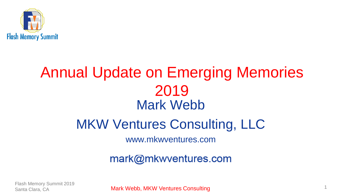

#### Annual Update on Emerging Memories 2019 Mark Webb

#### MKW Ventures Consulting, LLC

www.mkwventures.com

mark@mkwventures.com

Flash Memory Summit 2019

Mark Webb, MKW Ventures Consulting and the consulting of the Consulting of the Clara, CA 1996. The consulting  $\frac{1}{1}$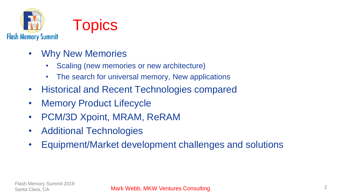



- Why New Memories
	- Scaling (new memories or new architecture)
	- The search for universal memory, New applications
- Historical and Recent Technologies compared
- Memory Product Lifecycle
- PCM/3D Xpoint, MRAM, ReRAM
- Additional Technologies
- Equipment/Market development challenges and solutions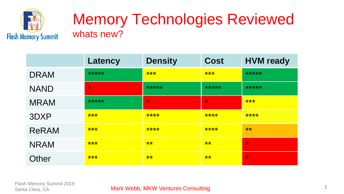

#### Memory Technologies Reviewed whats new?

|              | Latency | <b>Density</b> | <b>Cost</b> | <b>HVM</b> ready |
|--------------|---------|----------------|-------------|------------------|
| <b>DRAM</b>  | *****   | ***            | ***         | *****            |
| <b>NAND</b>  | $\star$ | *****          | *****       | *****            |
| <b>MRAM</b>  | *****   | $\star$        | $\star$     | ***              |
| 3DXP         | ***     | ****           | ****        | ****             |
| <b>ReRAM</b> | ***     | ****           | ****        | **               |
| <b>NRAM</b>  | ***     | **             | **          | $\star$          |
| Other        | ***     | **             | **          | $\star$          |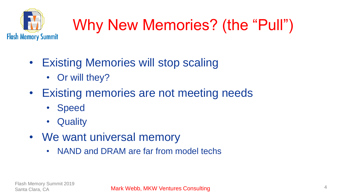

# Why New Memories? (the "Pull")

- Existing Memories will stop scaling
	- Or will they?
- Existing memories are not meeting needs
	- Speed
	- Quality
- We want universal memory
	- NAND and DRAM are far from model techs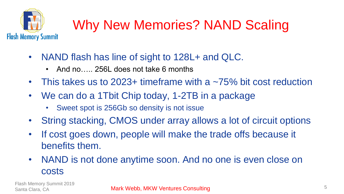

#### Why New Memories? NAND Scaling

- NAND flash has line of sight to 128L+ and QLC.
	- And no 256L does not take 6 months
- This takes us to 2023+ timeframe with a  $\sim$ 75% bit cost reduction
- We can do a 1Tbit Chip today, 1-2TB in a package
	- Sweet spot is 256Gb so density is not issue
- String stacking, CMOS under array allows a lot of circuit options
- If cost goes down, people will make the trade offs because it benefits them.
- NAND is not done anytime soon. And no one is even close on costs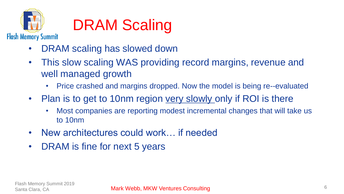

### DRAM Scaling

- DRAM scaling has slowed down
- This slow scaling WAS providing record margins, revenue and well managed growth
	- Price crashed and margins dropped. Now the model is being re--evaluated
- Plan is to get to 10nm region very slowly only if ROI is there
	- Most companies are reporting modest incremental changes that will take us to 10nm
- New architectures could work… if needed
- DRAM is fine for next 5 years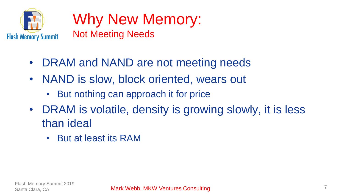

#### Why New Memory: Not Meeting Needs

- DRAM and NAND are not meeting needs
- NAND is slow, block oriented, wears out
	- But nothing can approach it for price
- DRAM is volatile, density is growing slowly, it is less than ideal
	- But at least its RAM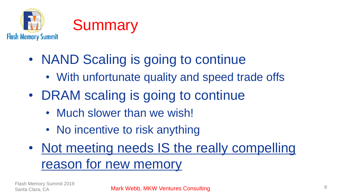

- NAND Scaling is going to continue
	- With unfortunate quality and speed trade offs
- DRAM scaling is going to continue
	- Much slower than we wish!
	- No incentive to risk anything
- Not meeting needs IS the really compelling reason for new memory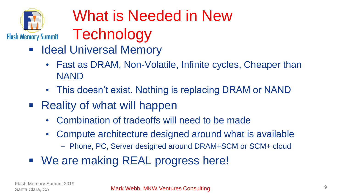

# What is Needed in New

- **Technology**
- **E** Ideal Universal Memory
	- Fast as DRAM, Non-Volatile, Infinite cycles, Cheaper than NAND
	- This doesn't exist. Nothing is replacing DRAM or NAND
- Reality of what will happen
	- Combination of tradeoffs will need to be made
	- Compute architecture designed around what is available
		- Phone, PC, Server designed around DRAM+SCM or SCM+ cloud
- We are making REAL progress here!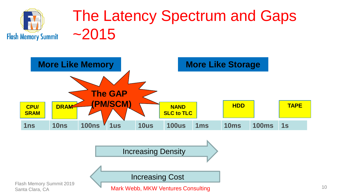

#### The Latency Spectrum and Gaps ~2015

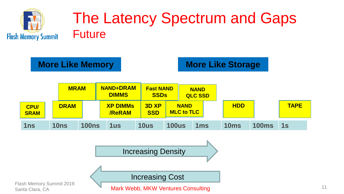

#### The Latency Spectrum and Gaps Future

**More Like Memory <b>More Like Storage** 



Increasing Density

Flash Memory Summit 2019

Santa Clara, CA **11 Mark Webb, MKW Ventures Consulting 11 Mark 11 Mark Webb, MKW Ventures Consulting** 

Increasing Cost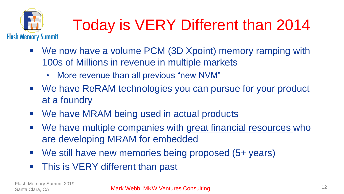

## Today is VERY Different than 2014

- We now have a volume PCM (3D Xpoint) memory ramping with 100s of Millions in revenue in multiple markets
	- More revenue than all previous "new NVM"
- We have ReRAM technologies you can pursue for your product at a foundry
- We have MRAM being used in actual products
- We have multiple companies with great financial resources who are developing MRAM for embedded
- We still have new memories being proposed (5+ years)
- This is VERY different than past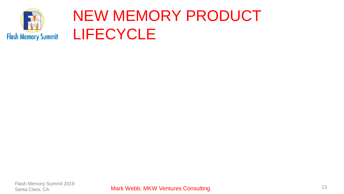

#### NEW MEMORY PRODUCT LIFECYCLE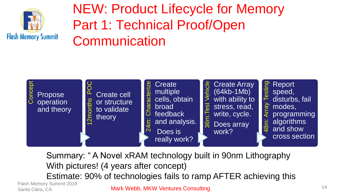

#### NEW: Product Lifecycle for Memory Part 1: Technical Proof/Open **Communication**



Summary: " A Novel xRAM technology built in 90nm Lithography With pictures! (4 years after concept) Estimate: 90% of technologies fails to ramp AFTER achieving this

Flash Memory Summit 2019

Mark Webb, MKW Ventures Consulting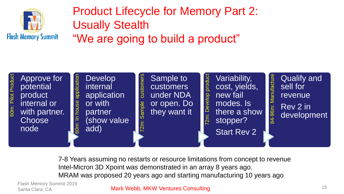

#### Product Lifecycle for Memory Part 2: Usually Stealth "We are going to build a product"



7-8 Years assuming no restarts or resource limitations from concept to revenue Intel-Micron 3D Xpoint was demonstrated in an array 8 years ago. MRAM was proposed 20 years ago and starting manufacturing 10 years ago

Flash Memory Summit 2019 Santa Clara, CA

#### Mark Webb, MKW Ventures Consulting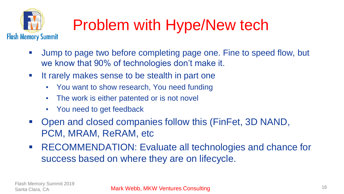

### Problem with Hype/New tech

- Jump to page two before completing page one. Fine to speed flow, but we know that 90% of technologies don't make it.
- It rarely makes sense to be stealth in part one
	- You want to show research, You need funding
	- The work is either patented or is not novel
	- You need to get feedback
- Open and closed companies follow this (FinFet, 3D NAND, PCM, MRAM, ReRAM, etc
- RECOMMENDATION: Evaluate all technologies and chance for success based on where they are on lifecycle.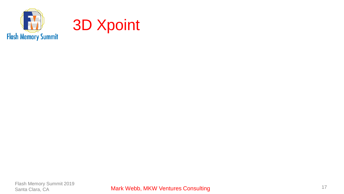

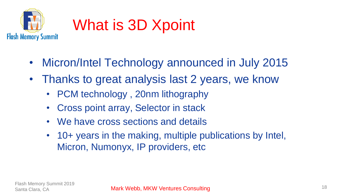

#### What is 3D Xpoint

- Micron/Intel Technology announced in July 2015
- Thanks to great analysis last 2 years, we know
	- PCM technology , 20nm lithography
	- Cross point array, Selector in stack
	- We have cross sections and details
	- 10+ years in the making, multiple publications by Intel, Micron, Numonyx, IP providers, etc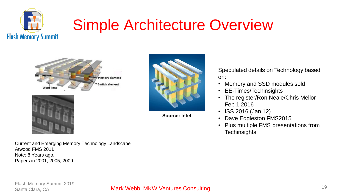

### Simple Architecture Overview





Current and Emerging Memory Technology Landscape Atwood FMS 2011 Note: 8 Years ago. Papers in 2001, 2005, 2009



**Source: Intel**

Speculated details on Technology based on:

- Memory and SSD modules sold
- EE-Times/Techinsights
- The register/Ron Neale/Chris Mellor Feb 1 2016
- ISS 2016 (Jan 12)
- Dave Eggleston FMS2015
- Plus multiple FMS presentations from **Techinsights**

#### Mark Webb, MKW Ventures Consulting and the consulting of the Consulting of the Clara, CA 19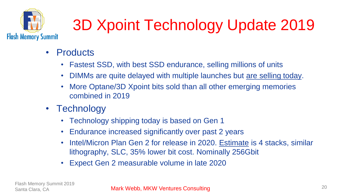

## 3D Xpoint Technology Update 2019

- **Products** 
	- Fastest SSD, with best SSD endurance, selling millions of units
	- DIMMs are quite delayed with multiple launches but are selling today.
	- More Optane/3D Xpoint bits sold than all other emerging memories combined in 2019
- Technology
	- Technology shipping today is based on Gen 1
	- Endurance increased significantly over past 2 years
	- Intel/Micron Plan Gen 2 for release in 2020. Estimate is 4 stacks, similar lithography, SLC, 35% lower bit cost. Nominally 256Gbit
	- Expect Gen 2 measurable volume in late 2020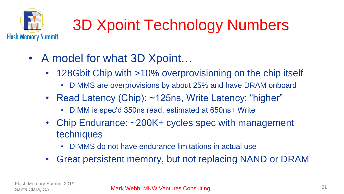

## 3D Xpoint Technology Numbers

- A model for what 3D Xpoint...
	- 128Gbit Chip with >10% overprovisioning on the chip itself
		- DIMMS are overprovisions by about 25% and have DRAM onboard
	- Read Latency (Chip): ~125ns, Write Latency: "higher"
		- DIMM is spec'd 350ns read, estimated at 650ns+ Write
	- Chip Endurance: ~200K+ cycles spec with management techniques
		- DIMMS do not have endurance limitations in actual use
	- Great persistent memory, but not replacing NAND or DRAM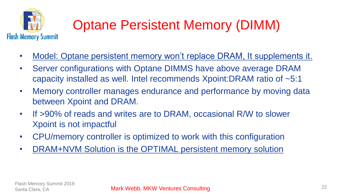

#### Optane Persistent Memory (DIMM)

- Model: Optane persistent memory won't replace DRAM, It supplements it.
- Server configurations with Optane DIMMS have above average DRAM capacity installed as well. Intel recommends Xpoint:DRAM ratio of ~5:1
- Memory controller manages endurance and performance by moving data between Xpoint and DRAM.
- If >90% of reads and writes are to DRAM, occasional R/W to slower Xpoint is not impactful
- CPU/memory controller is optimized to work with this configuration
- DRAM+NVM Solution is the OPTIMAL persistent memory solution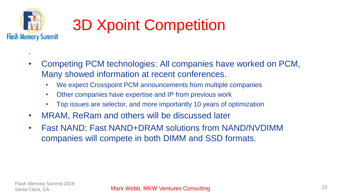

.

### 3D Xpoint Competition

- Competing PCM technologies: All companies have worked on PCM, Many showed information at recent conferences.
	- We expect Crosspoint PCM announcements from multiple companies
	- Other companies have expertise and IP from previous work
	- Top issues are selector, and more importantly 10 years of optimization
- MRAM, ReRam and others will be discussed later
- Fast NAND: Fast NAND+DRAM solutions from NAND/NVDIMM companies will compete in both DIMM and SSD formats.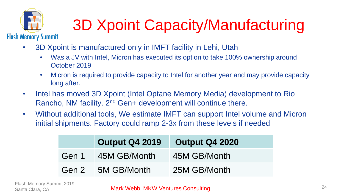

## 3D Xpoint Capacity/Manufacturing

- 3D Xpoint is manufactured only in IMFT facility in Lehi, Utah
	- Was a JV with Intel, Micron has executed its option to take 100% ownership around October 2019
	- Micron is required to provide capacity to Intel for another year and may provide capacity long after.
- Intel has moved 3D Xpoint (Intel Optane Memory Media) development to Rio Rancho, NM facility. 2<sup>nd</sup> Gen+ development will continue there.
- Without additional tools, We estimate IMFT can support Intel volume and Micron initial shipments. Factory could ramp 2-3x from these levels if needed

|       | <b>Output Q4 2019</b> | <b>Output Q4 2020</b> |
|-------|-----------------------|-----------------------|
| Gen 1 | 45M GB/Month          | 45M GB/Month          |
| Gen 2 | 5M GB/Month           | 25M GB/Month          |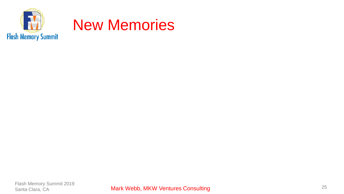

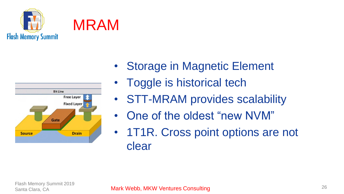





- Storage in Magnetic Element
- Toggle is historical tech
- STT-MRAM provides scalability
- One of the oldest "new NVM"
- 1T1R. Cross point options are not clear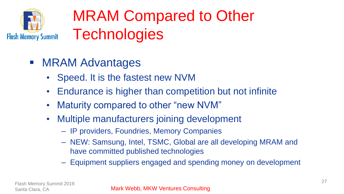

#### MRAM Compared to Other **Technologies**

- MRAM Advantages
	- Speed. It is the fastest new NVM
	- Endurance is higher than competition but not infinite
	- Maturity compared to other "new NVM"
	- Multiple manufacturers joining development
		- IP providers, Foundries, Memory Companies
		- NEW: Samsung, Intel, TSMC, Global are all developing MRAM and have committed published technologies
		- Equipment suppliers engaged and spending money on development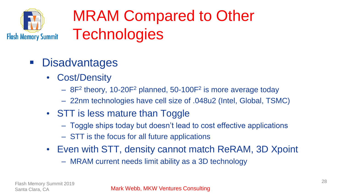

#### MRAM Compared to Other **Technologies**

- Disadvantages
	- Cost/Density
		- $-$  8F<sup>2</sup> theory, 10-20F<sup>2</sup> planned, 50-100F<sup>2</sup> is more average today
		- 22nm technologies have cell size of .048u2 (Intel, Global, TSMC)
	- STT is less mature than Toggle
		- Toggle ships today but doesn't lead to cost effective applications
		- STT is the focus for all future applications
	- Even with STT, density cannot match ReRAM, 3D Xpoint
		- MRAM current needs limit ability as a 3D technology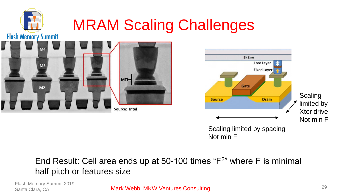

#### End Result: Cell area ends up at 50-100 times "F<sup>2</sup>" where F is minimal half pitch or features size

Flash Memory Summit 2019 Santa Clara, CA

Mark Webb, MKW Ventures Consulting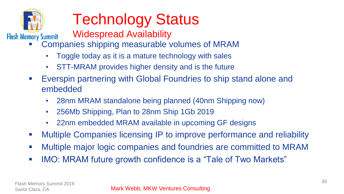

## Technology Status

- Widespread Availability
- Companies shipping measurable volumes of MRAM
	- Toggle today as it is a mature technology with sales
	- STT-MRAM provides higher density and is the future
- Everspin partnering with Global Foundries to ship stand alone and embedded
	- 28nm MRAM standalone being planned (40nm Shipping now)
	- 256Mb Shipping, Plan to 28nm Ship 1Gb 2019
	- 22nm embedded MRAM available in upcoming GF designs
- Multiple Companies licensing IP to improve performance and reliability
- Multiple major logic companies and foundries are committed to MRAM
- **.** IMO: MRAM future growth confidence is a "Tale of Two Markets"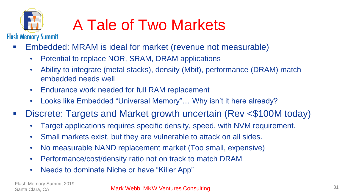

### A Tale of Two Markets

- Embedded: MRAM is ideal for market (revenue not measurable)
	- Potential to replace NOR, SRAM, DRAM applications
	- Ability to integrate (metal stacks), density (Mbit), performance (DRAM) match embedded needs well
	- Endurance work needed for full RAM replacement
	- Looks like Embedded "Universal Memory"... Why isn't it here already?
- Discrete: Targets and Market growth uncertain (Rev <\$100M today)
	- Target applications requires specific density, speed, with NVM requirement.
	- Small markets exist, but they are vulnerable to attack on all sides.
	- No measurable NAND replacement market (Too small, expensive)
	- Performance/cost/density ratio not on track to match DRAM
	- Needs to dominate Niche or have "Killer App"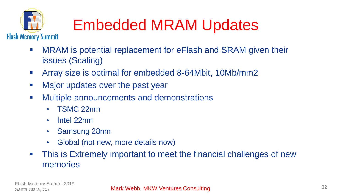

### Embedded MRAM Updates

- MRAM is potential replacement for eFlash and SRAM given their issues (Scaling)
- Array size is optimal for embedded 8-64Mbit, 10Mb/mm2
- Major updates over the past year
- Multiple announcements and demonstrations
	- TSMC 22nm
	- Intel 22nm
	- Samsung 28nm
	- Global (not new, more details now)
- This is Extremely important to meet the financial challenges of new memories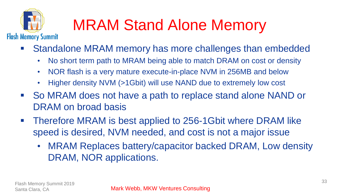

## MRAM Stand Alone Memory

- Standalone MRAM memory has more challenges than embedded
	- No short term path to MRAM being able to match DRAM on cost or density
	- NOR flash is a very mature execute-in-place NVM in 256MB and below
	- Higher density NVM (>1Gbit) will use NAND due to extremely low cost
- So MRAM does not have a path to replace stand alone NAND or DRAM on broad basis
- Therefore MRAM is best applied to 256-1Gbit where DRAM like speed is desired, NVM needed, and cost is not a major issue
	- MRAM Replaces battery/capacitor backed DRAM, Low density DRAM, NOR applications.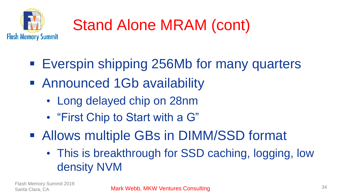

## Stand Alone MRAM (cont)

- **Everspin shipping 256Mb for many quarters**
- Announced 1Gb availability
	- Long delayed chip on 28nm
	- "First Chip to Start with a G"
- Allows multiple GBs in DIMM/SSD format
	- This is breakthrough for SSD caching, logging, low density NVM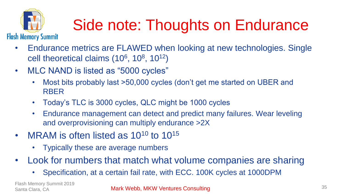

## Side note: Thoughts on Endurance

- Endurance metrics are FLAWED when looking at new technologies. Single cell theoretical claims  $(10^6, 10^8, 10^{12})$
- MLC NAND is listed as "5000 cycles"
	- Most bits probably last >50,000 cycles (don't get me started on UBER and RBER
	- Today's TLC is 3000 cycles, QLC might be 1000 cycles
	- Endurance management can detect and predict many failures. Wear leveling and overprovisioning can multiply endurance >2X
- MRAM is often listed as  $10^{10}$  to  $10^{15}$ 
	- Typically these are average numbers
- Look for numbers that match what volume companies are sharing
	- Specification, at a certain fail rate, with ECC. 100K cycles at 1000DPM

Flash Memory Summit 2019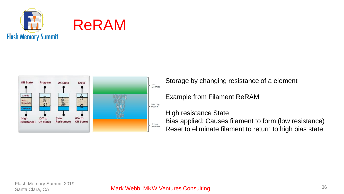





Storage by changing resistance of a element

Example from Filament ReRAM

High resistance State Bias applied: Causes filament to form (low resistance) Reset to eliminate filament to return to high bias state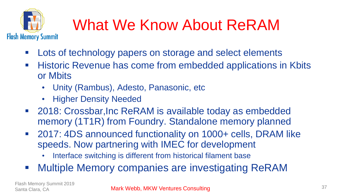

## What We Know About ReRAM

- Lots of technology papers on storage and select elements
- **EXTE:** Historic Revenue has come from embedded applications in Kbits or Mbits
	- Unity (Rambus), Adesto, Panasonic, etc
	- Higher Density Needed
- 2018: Crossbar, Inc ReRAM is available today as embedded memory (1T1R) from Foundry. Standalone memory planned
- 2017: 4DS announced functionality on 1000+ cells, DRAM like speeds. Now partnering with IMEC for development
	- Interface switching is different from historical filament base
- Multiple Memory companies are investigating ReRAM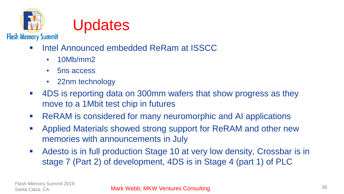



- Intel Announced embedded ReRam at ISSCC
	- 10Mb/mm2
	- 5ns access
	- 22nm technology
- 4DS is reporting data on 300mm wafers that show progress as they move to a 1Mbit test chip in futures
- **EXAM** is considered for many neuromorphic and AI applications
- Applied Materials showed strong support for ReRAM and other new memories with announcements in July
- Adesto is in full production Stage 10 at very low density, Crossbar is in stage 7 (Part 2) of development, 4DS is in Stage 4 (part 1) of PLC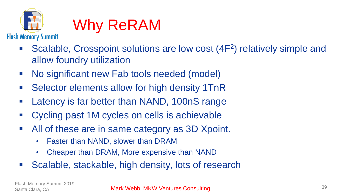

#### Why ReRAM

- Scalable, Crosspoint solutions are low cost (4F<sup>2</sup>) relatively simple and allow foundry utilization
- No significant new Fab tools needed (model)
- Selector elements allow for high density 1TnR
- Latency is far better than NAND, 100nS range
- Cycling past 1M cycles on cells is achievable
- All of these are in same category as 3D Xpoint.
	- Faster than NAND, slower than DRAM
	- Cheaper than DRAM, More expensive than NAND
- Scalable, stackable, high density, lots of research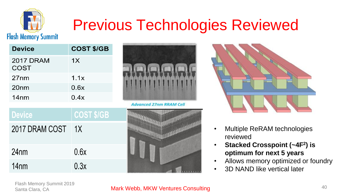

#### Previous Technologies Reviewed

| <b>Device</b>            | <b>COST \$/GB</b> |
|--------------------------|-------------------|
| <b>2017 DRAM</b><br>COST | 1X                |
| 27 <sub>nm</sub>         | 1.1x              |
| 20 <sub>nm</sub>         | 0.6x              |
| 14 <sub>nm</sub>         | 0.4x              |



**Advanced 27nm RRAM Cell** 

| <b>Device</b>    | <b>COST \$/GB</b> |
|------------------|-------------------|
| 2017 DRAM COST   | $\overline{11}$   |
| 24 <sub>nm</sub> | 0.6x              |
| 14 <sub>nm</sub> | 0.3x              |





- Multiple ReRAM technologies reviewed
- **Stacked Crosspoint (~4F<sup>2</sup> ) is optimum for next 5 years**
- Allows memory optimized or foundry
- 3D NAND like vertical later

Flash Memory Summit 2019 Santa Clara, CA

#### Mark Webb, MKW Ventures Consulting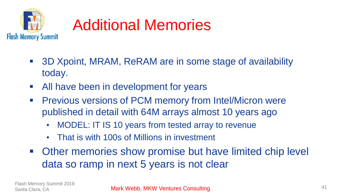

### Additional Memories

- 3D Xpoint, MRAM, ReRAM are in some stage of availability today.
- All have been in development for years
- **Previous versions of PCM memory from Intel/Micron were** published in detail with 64M arrays almost 10 years ago
	- MODEL: IT IS 10 years from tested array to revenue
	- That is with 100s of Millions in investment
- Other memories show promise but have limited chip level data so ramp in next 5 years is not clear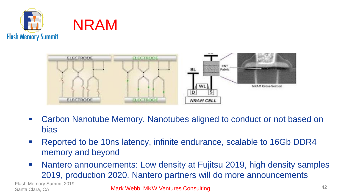





- Carbon Nanotube Memory. Nanotubes aligned to conduct or not based on bias
- Reported to be 10ns latency, infinite endurance, scalable to 16Gb DDR4 memory and beyond
- Nantero announcements: Low density at Fujitsu 2019, high density samples 2019, production 2020. Nantero partners will do more announcements

Flash Memory Summit 2019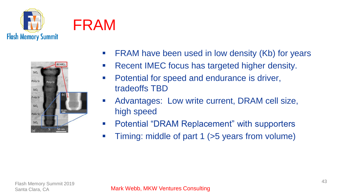





- FRAM have been used in low density (Kb) for years
- Recent IMEC focus has targeted higher density.
- Potential for speed and endurance is driver, tradeoffs TBD
- Advantages: Low write current, DRAM cell size, high speed
- Potential "DRAM Replacement" with supporters
- **•** Timing: middle of part 1 (>5 years from volume)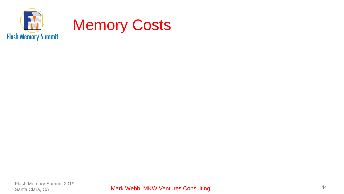

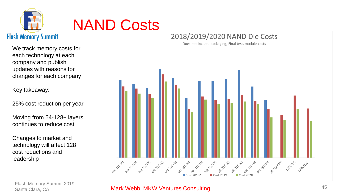

#### NAND Costs

We track memory costs for each technology at each company and publish updates with reasons for changes for each company

Key takeaway:

25% cost reduction per year

Moving from 64-128+ layers continues to reduce cost

Changes to market and technology will affect 128 cost reductions and leadership

Flash Memory Summit 2019 Santa Clara, CA

#### 2018/2019/2020 NAND Die Costs Does not include packaging, Final test, module costs



#### Mark Webb, MKW Ventures Consulting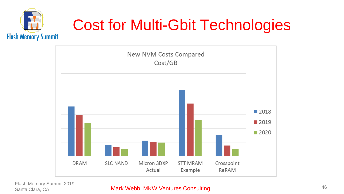

#### Cost for Multi-Gbit Technologies



Flash Memory Summit 2019

#### Mark Webb, MKW Ventures Consulting and the consulting the Case of the Mark Webb, MKW Ventures Consulting and the consulting of the consulting of the consulting of the consulting of the consulting of the consulting of the c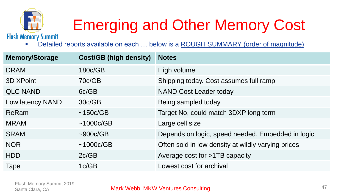

## Emerging and Other Memory Cost

Detailed reports available on each ... below is a ROUGH SUMMARY (order of magnitude)

| <b>Memory/Storage</b> | <b>Cost/GB (high density)</b> | <b>Notes</b>                                       |
|-----------------------|-------------------------------|----------------------------------------------------|
| <b>DRAM</b>           | 180c/GB                       | High volume                                        |
| 3D XPoint             | 70c/GB                        | Shipping today. Cost assumes full ramp             |
| <b>QLC NAND</b>       | 6c/GB                         | <b>NAND Cost Leader today</b>                      |
| Low latency NAND      | 30c/GB                        | Being sampled today                                |
| ReRam                 | ~150c/GB                      | Target No, could match 3DXP long term              |
| <b>MRAM</b>           | ~1000c/GB                     | Large cell size                                    |
| <b>SRAM</b>           | $\sim$ 900c/GB                | Depends on logic, speed needed. Embedded in logic  |
| <b>NOR</b>            | ~1000c/GB                     | Often sold in low density at wildly varying prices |
| <b>HDD</b>            | 2c/GB                         | Average cost for >1TB capacity                     |
| Tape                  | 1c/GB                         | Lowest cost for archival                           |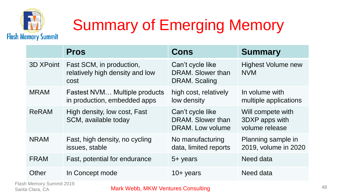

## Summary of Emerging Memory

|              | <b>Pros</b>                                                         | Cons                                                      | <b>Summary</b>                                        |
|--------------|---------------------------------------------------------------------|-----------------------------------------------------------|-------------------------------------------------------|
| 3D XPoint    | Fast SCM, in production,<br>relatively high density and low<br>cost | Can't cycle like<br>DRAM. Slower than<br>DRAM. Scaling    | <b>Highest Volume new</b><br><b>NVM</b>               |
| <b>MRAM</b>  | Fastest NVM Multiple products<br>in production, embedded apps       | high cost, relatively<br>low density                      | In volume with<br>multiple applications               |
| <b>ReRAM</b> | High density, low cost, Fast<br>SCM, available today                | Can't cycle like<br>DRAM. Slower than<br>DRAM. Low volume | Will compete with<br>3DXP apps with<br>volume release |
| <b>NRAM</b>  | Fast, high density, no cycling<br>issues, stable                    | No manufacturing<br>data, limited reports                 | Planning sample in<br>2019, volume in 2020            |
| <b>FRAM</b>  | Fast, potential for endurance                                       | 5+ years                                                  | Need data                                             |
| Other        | In Concept mode                                                     | $10+$ years                                               | Need data                                             |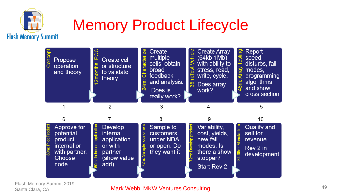

#### Memory Product Lifecycle



Flash Memory Summit 2019 Santa Clara, CA

#### Mark Webb, MKW Ventures Consulting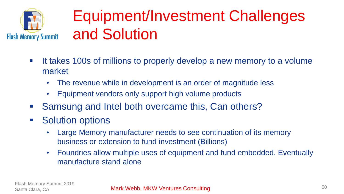

#### Equipment/Investment Challenges and Solution

- It takes 100s of millions to properly develop a new memory to a volume market
	- The revenue while in development is an order of magnitude less
	- Equipment vendors only support high volume products
- Samsung and Intel both overcame this, Can others?
- Solution options
	- Large Memory manufacturer needs to see continuation of its memory business or extension to fund investment (Billions)
	- Foundries allow multiple uses of equipment and fund embedded. Eventually manufacture stand alone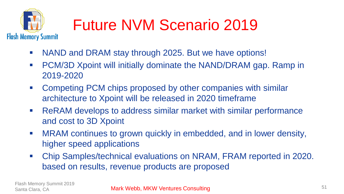

## Future NVM Scenario 2019

- NAND and DRAM stay through 2025. But we have options!
- PCM/3D Xpoint will initially dominate the NAND/DRAM gap. Ramp in 2019-2020
- Competing PCM chips proposed by other companies with similar architecture to Xpoint will be released in 2020 timeframe
- ReRAM develops to address similar market with similar performance and cost to 3D Xpoint
- **■** MRAM continues to grown quickly in embedded, and in lower density, higher speed applications
- Chip Samples/technical evaluations on NRAM, FRAM reported in 2020. based on results, revenue products are proposed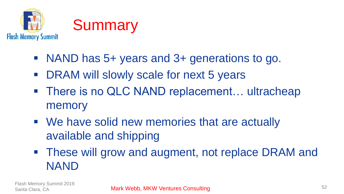

- NAND has 5+ years and 3+ generations to go.
- DRAM will slowly scale for next 5 years
- There is no QLC NAND replacement... ultracheap memory
- We have solid new memories that are actually available and shipping
- These will grow and augment, not replace DRAM and NAND